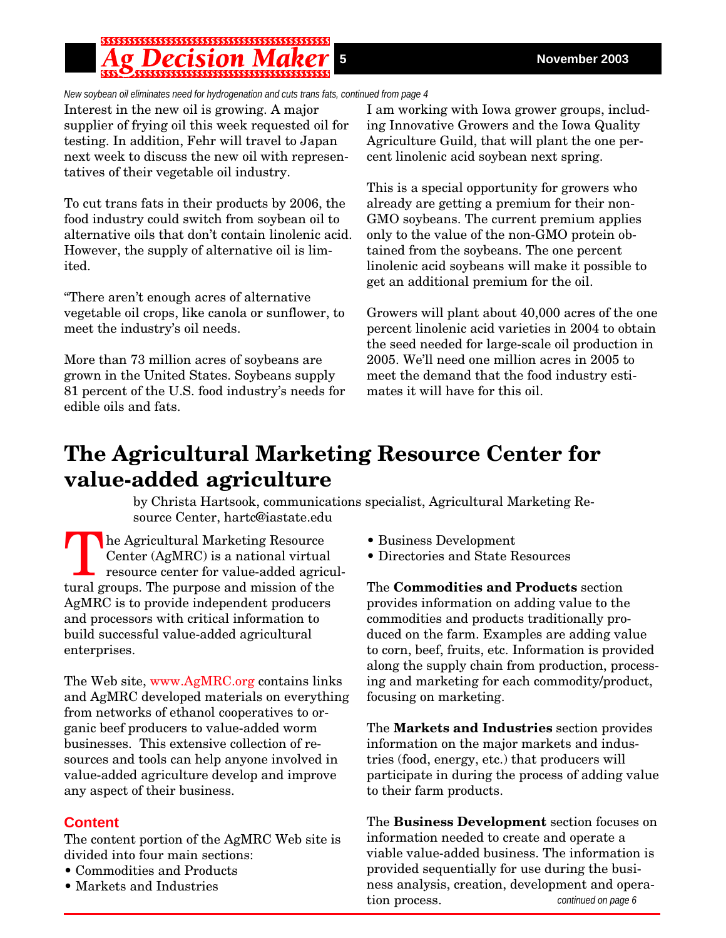*New soybean oil eliminates need for hydrogenation and cuts trans fats, continued from page 4*

Interest in the new oil is growing. A major supplier of frying oil this week requested oil for testing. In addition, Fehr will travel to Japan next week to discuss the new oil with representatives of their vegetable oil industry.

To cut trans fats in their products by 2006, the food industry could switch from soybean oil to alternative oils that don't contain linolenic acid. However, the supply of alternative oil is limited.

"There aren't enough acres of alternative vegetable oil crops, like canola or sunflower, to meet the industry's oil needs.

More than 73 million acres of soybeans are grown in the United States. Soybeans supply 81 percent of the U.S. food industry's needs for edible oils and fats.

I am working with Iowa grower groups, including Innovative Growers and the Iowa Quality Agriculture Guild, that will plant the one percent linolenic acid soybean next spring.

This is a special opportunity for growers who already are getting a premium for their non-GMO soybeans. The current premium applies only to the value of the non-GMO protein obtained from the soybeans. The one percent linolenic acid soybeans will make it possible to get an additional premium for the oil.

Growers will plant about 40,000 acres of the one percent linolenic acid varieties in 2004 to obtain the seed needed for large-scale oil production in 2005. We'll need one million acres in 2005 to meet the demand that the food industry estimates it will have for this oil.

# **The Agricultural Marketing Resource Center for value-added agriculture**

by Christa Hartsook, communications specialist, Agricultural Marketing Resource Center, hartc@iastate.edu

The Agricultural Marketing Resource Center (AgMRC) is a national virtual resource center for value-added agricultural groups. The purpose and mission of the AgMRC is to provide independent producers and processors with critical information to build successful value-added agricultural enterprises.

The Web site, www.AgMRC.org contains links and AgMRC developed materials on everything from networks of ethanol cooperatives to organic beef producers to value-added worm businesses. This extensive collection of resources and tools can help anyone involved in value-added agriculture develop and improve any aspect of their business.

## **Content**

The content portion of the AgMRC Web site is divided into four main sections:

- Commodities and Products
- Markets and Industries
- Business Development
- Directories and State Resources

The **Commodities and Products** section provides information on adding value to the commodities and products traditionally produced on the farm. Examples are adding value to corn, beef, fruits, etc. Information is provided along the supply chain from production, processing and marketing for each commodity/product, focusing on marketing.

The **Markets and Industries** section provides information on the major markets and industries (food, energy, etc.) that producers will participate in during the process of adding value to their farm products.

*continued on page 6* The **Business Development** section focuses on information needed to create and operate a viable value-added business. The information is provided sequentially for use during the business analysis, creation, development and operation process.